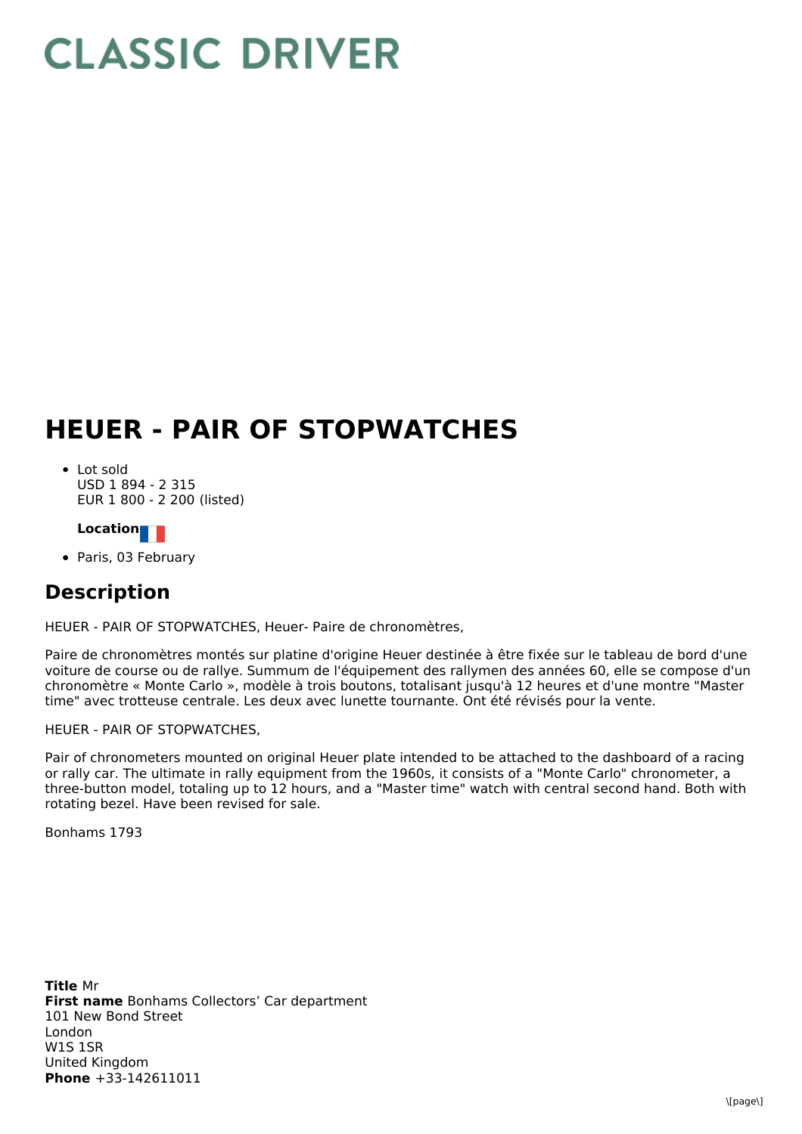## **CLASSIC DRIVER**

## **HEUER - PAIR OF STOPWATCHES**

Lot sold USD 1 894 - 2 315 EUR 1 800 - 2 200 (listed)

**Location**

• Paris, 03 February

## **Description**

HEUER - PAIR OF STOPWATCHES, Heuer- Paire de chronomètres,

Paire de chronomètres montés sur platine d'origine Heuer destinée à être fixée sur le tableau de bord d'une voiture de course ou de rallye. Summum de l'équipement des rallymen des années 60, elle se compose d'un chronomètre « Monte Carlo », modèle à trois boutons, totalisant jusqu'à 12 heures et d'une montre "Master time" avec trotteuse centrale. Les deux avec lunette tournante. Ont été révisés pour la vente.

HEUER - PAIR OF STOPWATCHES,

Pair of chronometers mounted on original Heuer plate intended to be attached to the dashboard of a racing or rally car. The ultimate in rally equipment from the 1960s, it consists of a "Monte Carlo" chronometer, a three-button model, totaling up to 12 hours, and a "Master time" watch with central second hand. Both with rotating bezel. Have been revised for sale.

Bonhams 1793

**Title** Mr **First name** Bonhams Collectors' Car department **Phone** +33-142611011 101 New Bond Street London W1S 1SR United Kingdom